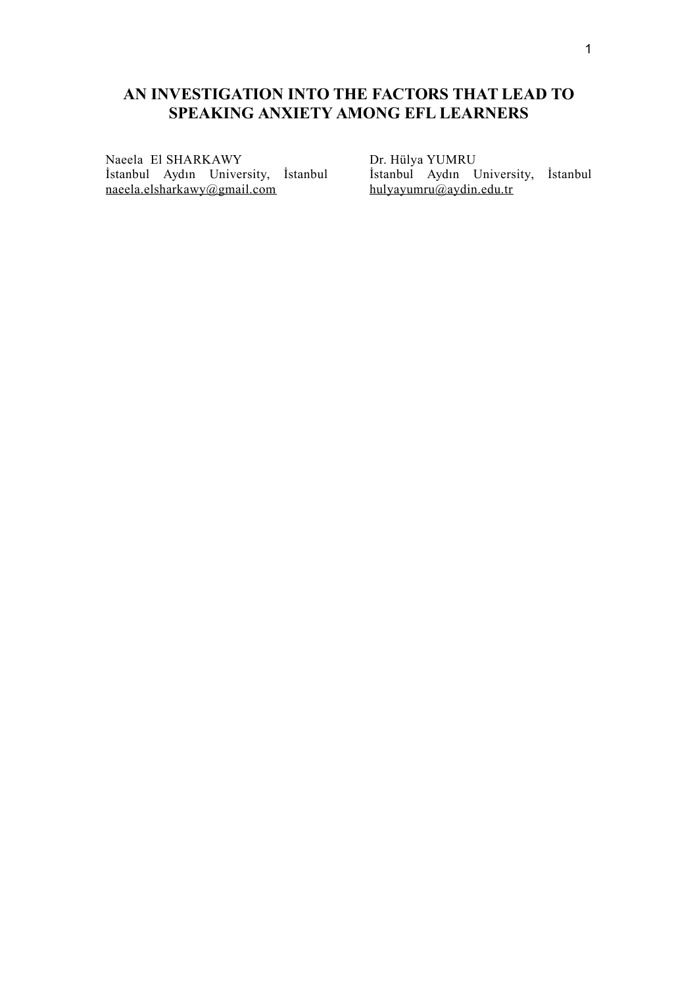# **AN INVESTIGATION INTO THE FACTORS THAT LEAD TO SPEAKING ANXIETY AMONG EFL LEARNERS**

Naeela El SHARKAWY İstanbul Aydın University, İstanbul naeela.elsharkawy@gmail.com

Dr. Hülya YUMRU İstanbul Aydın University, İstanbul hulyayumru@aydin.edu.tr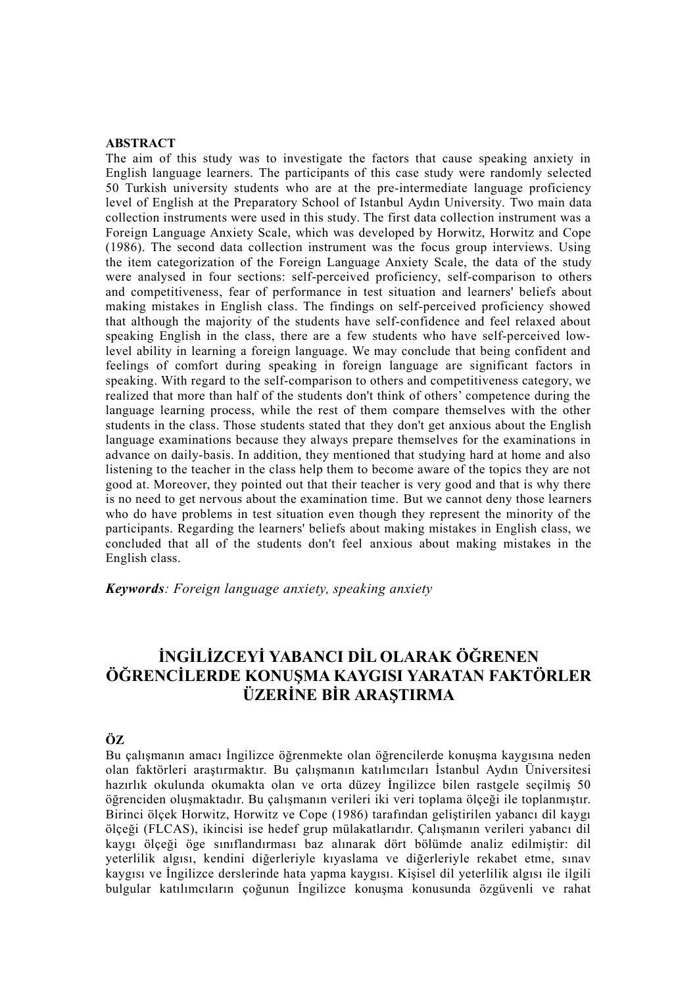### **ABSTRACT**

The aim of this study was to investigate the factors that cause speaking anxiety in English language learners. The participants of this case study were randomly selected 50 Turkish university students who are at the pre-intermediate language proficiency level of English at the Preparatory School of Istanbul Aydın University. Two main data collection instruments were used in this study. The first data collection instrument was a Foreign Language Anxiety Scale, which was developed by Horwitz, Horwitz and Cope (1986). The second data collection instrument was the focus group interviews. Using the item categorization of the Foreign Language Anxiety Scale, the data of the study were analysed in four sections: self-perceived proficiency, self-comparison to others and competitiveness, fear of performance in test situation and learners' beliefs about making mistakes in English class. The findings on self-perceived proficiency showed that although the majority of the students have self-confidence and feel relaxed about speaking English in the class, there are a few students who have self-perceived lowlevel ability in learning a foreign language. We may conclude that being confident and feelings of comfort during speaking in foreign language are significant factors in speaking. With regard to the self-comparison to others and competitiveness category, we realized that more than half of the students don't think of others' competence during the language learning process, while the rest of them compare themselves with the other students in the class. Those students stated that they don't get anxious about the English language examinations because they always prepare themselves for the examinations in advance on daily-basis. In addition, they mentioned that studying hard at home and also listening to the teacher in the class help them to become aware of the topics they are not good at. Moreover, they pointed out that their teacher is very good and that is why there is no need to get nervous about the examination time. But we cannot deny those learners who do have problems in test situation even though they represent the minority of the participants. Regarding the learners' beliefs about making mistakes in English class, we concluded that all of the students don't feel anxious about making mistakes in the English class.

*Keywords: Foreign language anxiety, speaking anxiety*

# **İNGİLİZCEYİ YABANCI DİL OLARAK ÖĞRENEN ÖĞRENCİLERDE KONUŞMA KAYGISI YARATAN FAKTÖRLER ÜZERİNE BİR ARAŞTIRMA**

## **ÖZ**

Bu çalışmanın amacı İngilizce öğrenmekte olan öğrencilerde konuşma kaygısına neden olan faktörleri araştırmaktır. Bu çalışmanın katılımcıları İstanbul Aydın Üniversitesi hazırlık okulunda okumakta olan ve orta düzey İngilizce bilen rastgele seçilmiş 50 öğrenciden oluşmaktadır. Bu çalışmanın verileri iki veri toplama ölçeği ile toplanmıştır. Birinci ölçek Horwitz, Horwitz ve Cope (1986) tarafından geliştirilen yabancı dil kaygı ölçeği (FLCAS), ikincisi ise hedef grup mülakatlarıdır. Çalışmanın verileri yabancı dil kaygı ölçeği öge sınıflandırması baz alınarak dört bölümde analiz edilmiştir: dil yeterlilik algısı, kendini diğerleriyle kıyaslama ve diğerleriyle rekabet etme, sınav kaygısı ve İngilizce derslerinde hata yapma kaygısı. Kişisel dil yeterlilik algısı ile ilgili bulgular katılımcıların çoğunun İngilizce konuşma konusunda özgüvenli ve rahat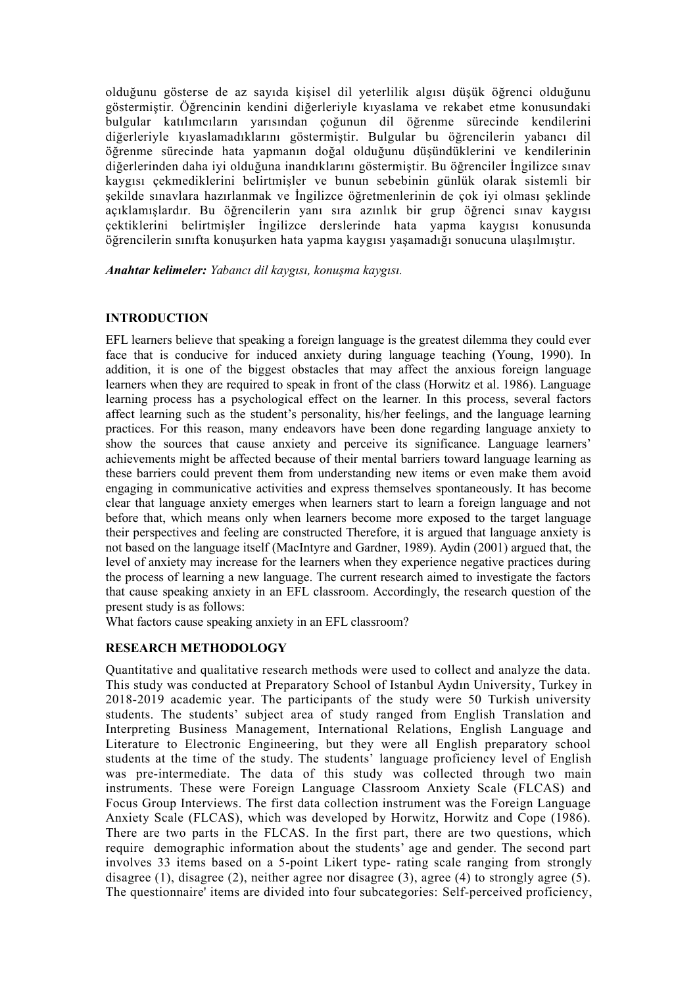olduğunu gösterse de az sayıda kişisel dil yeterlilik algısı düşük öğrenci olduğunu göstermiştir. Öğrencinin kendini diğerleriyle kıyaslama ve rekabet etme konusundaki bulgular katılımcıların yarısından çoğunun dil öğrenme sürecinde kendilerini diğerleriyle kıyaslamadıklarını göstermiştir. Bulgular bu öğrencilerin yabancı dil öğrenme sürecinde hata yapmanın doğal olduğunu düşündüklerini ve kendilerinin diğerlerinden daha iyi olduğuna inandıklarını göstermiştir. Bu öğrenciler İngilizce sınav kaygısı çekmediklerini belirtmişler ve bunun sebebinin günlük olarak sistemli bir şekilde sınavlara hazırlanmak ve İngilizce öğretmenlerinin de çok iyi olması şeklinde açıklamışlardır. Bu öğrencilerin yanı sıra azınlık bir grup öğrenci sınav kaygısı çektiklerini belirtmişler İngilizce derslerinde hata yapma kaygısı konusunda öğrencilerin sınıfta konuşurken hata yapma kaygısı yaşamadığı sonucuna ulaşılmıştır.

*Anahtar kelimeler: Yabancı dil kaygısı, konuşma kaygısı.*

#### **INTRODUCTION**

EFL learners believe that speaking a foreign language is the greatest dilemma they could ever face that is conducive for induced anxiety during language teaching (Young, 1990). In addition, it is one of the biggest obstacles that may affect the anxious foreign language learners when they are required to speak in front of the class (Horwitz et al. 1986). Language learning process has a psychological effect on the learner. In this process, several factors affect learning such as the student's personality, his/her feelings, and the language learning practices. For this reason, many endeavors have been done regarding language anxiety to show the sources that cause anxiety and perceive its significance. Language learners' achievements might be affected because of their mental barriers toward language learning as these barriers could prevent them from understanding new items or even make them avoid engaging in communicative activities and express themselves spontaneously. It has become clear that language anxiety emerges when learners start to learn a foreign language and not before that, which means only when learners become more exposed to the target language their perspectives and feeling are constructed Therefore, it is argued that language anxiety is not based on the language itself (MacIntyre and Gardner, 1989). Aydin (2001) argued that, the level of anxiety may increase for the learners when they experience negative practices during the process of learning a new language. The current research aimed to investigate the factors that cause speaking anxiety in an EFL classroom. Accordingly, the research question of the present study is as follows:

What factors cause speaking anxiety in an EFL classroom?

#### **RESEARCH METHODOLOGY**

Quantitative and qualitative research methods were used to collect and analyze the data. This study was conducted at Preparatory School of Istanbul Aydın University, Turkey in 2018-2019 academic year. The participants of the study were 50 Turkish university students. The students' subject area of study ranged from English Translation and Interpreting Business Management, International Relations, English Language and Literature to Electronic Engineering, but they were all English preparatory school students at the time of the study. The students' language proficiency level of English was pre-intermediate. The data of this study was collected through two main instruments. These were Foreign Language Classroom Anxiety Scale (FLCAS) and Focus Group Interviews. The first data collection instrument was the Foreign Language Anxiety Scale (FLCAS), which was developed by Horwitz, Horwitz and Cope (1986). There are two parts in the FLCAS. In the first part, there are two questions, which require demographic information about the students' age and gender. The second part involves 33 items based on a 5-point Likert type- rating scale ranging from strongly disagree (1), disagree (2), neither agree nor disagree (3), agree (4) to strongly agree (5). The questionnaire' items are divided into four subcategories: Self-perceived proficiency,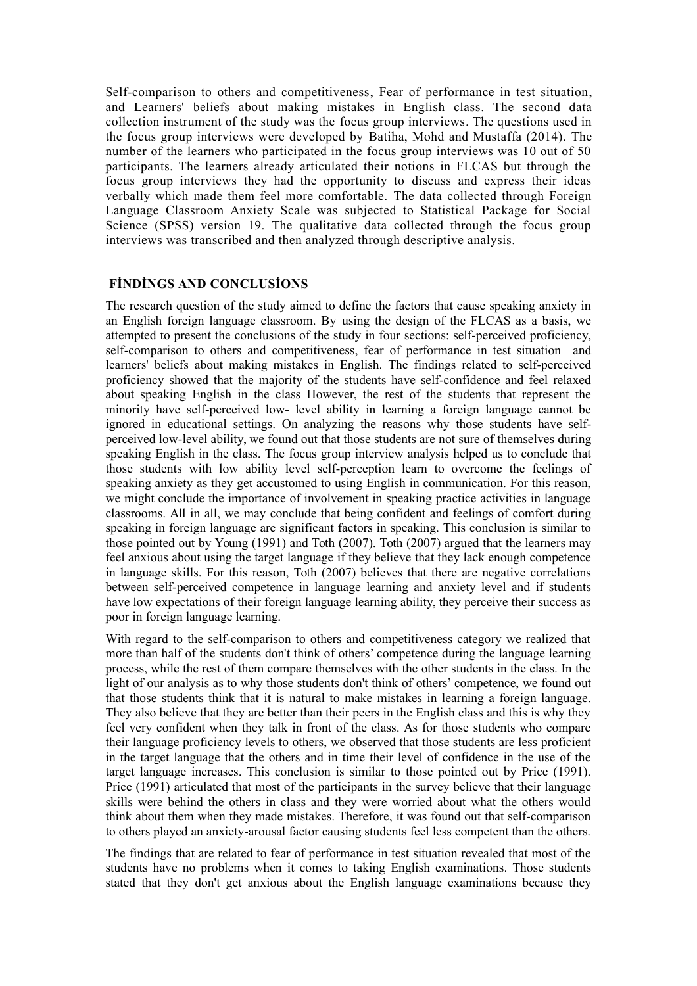Self-comparison to others and competitiveness, Fear of performance in test situation, and Learners' beliefs about making mistakes in English class. The second data collection instrument of the study was the focus group interviews. The questions used in the focus group interviews were developed by Batiha, Mohd and Mustaffa (2014). The number of the learners who participated in the focus group interviews was 10 out of 50 participants. The learners already articulated their notions in FLCAS but through the focus group interviews they had the opportunity to discuss and express their ideas verbally which made them feel more comfortable. The data collected through Foreign Language Classroom Anxiety Scale was subjected to Statistical Package for Social Science (SPSS) version 19. The qualitative data collected through the focus group interviews was transcribed and then analyzed through descriptive analysis.

### **FİNDİNGS AND CONCLUSİONS**

The research question of the study aimed to define the factors that cause speaking anxiety in an English foreign language classroom. By using the design of the FLCAS as a basis, we attempted to present the conclusions of the study in four sections: self-perceived proficiency, self-comparison to others and competitiveness, fear of performance in test situation and learners' beliefs about making mistakes in English. The findings related to self-perceived proficiency showed that the majority of the students have self-confidence and feel relaxed about speaking English in the class However, the rest of the students that represent the minority have self-perceived low- level ability in learning a foreign language cannot be ignored in educational settings. On analyzing the reasons why those students have selfperceived low-level ability, we found out that those students are not sure of themselves during speaking English in the class. The focus group interview analysis helped us to conclude that those students with low ability level self-perception learn to overcome the feelings of speaking anxiety as they get accustomed to using English in communication. For this reason, we might conclude the importance of involvement in speaking practice activities in language classrooms. All in all, we may conclude that being confident and feelings of comfort during speaking in foreign language are significant factors in speaking. This conclusion is similar to those pointed out by Young (1991) and Toth (2007). Toth (2007) argued that the learners may feel anxious about using the target language if they believe that they lack enough competence in language skills. For this reason, Toth (2007) believes that there are negative correlations between self-perceived competence in language learning and anxiety level and if students have low expectations of their foreign language learning ability, they perceive their success as poor in foreign language learning.

With regard to the self-comparison to others and competitiveness category we realized that more than half of the students don't think of others' competence during the language learning process, while the rest of them compare themselves with the other students in the class. In the light of our analysis as to why those students don't think of others' competence, we found out that those students think that it is natural to make mistakes in learning a foreign language. They also believe that they are better than their peers in the English class and this is why they feel very confident when they talk in front of the class. As for those students who compare their language proficiency levels to others, we observed that those students are less proficient in the target language that the others and in time their level of confidence in the use of the target language increases. This conclusion is similar to those pointed out by Price (1991). Price (1991) articulated that most of the participants in the survey believe that their language skills were behind the others in class and they were worried about what the others would think about them when they made mistakes. Therefore, it was found out that self-comparison to others played an anxiety-arousal factor causing students feel less competent than the others.

The findings that are related to fear of performance in test situation revealed that most of the students have no problems when it comes to taking English examinations. Those students stated that they don't get anxious about the English language examinations because they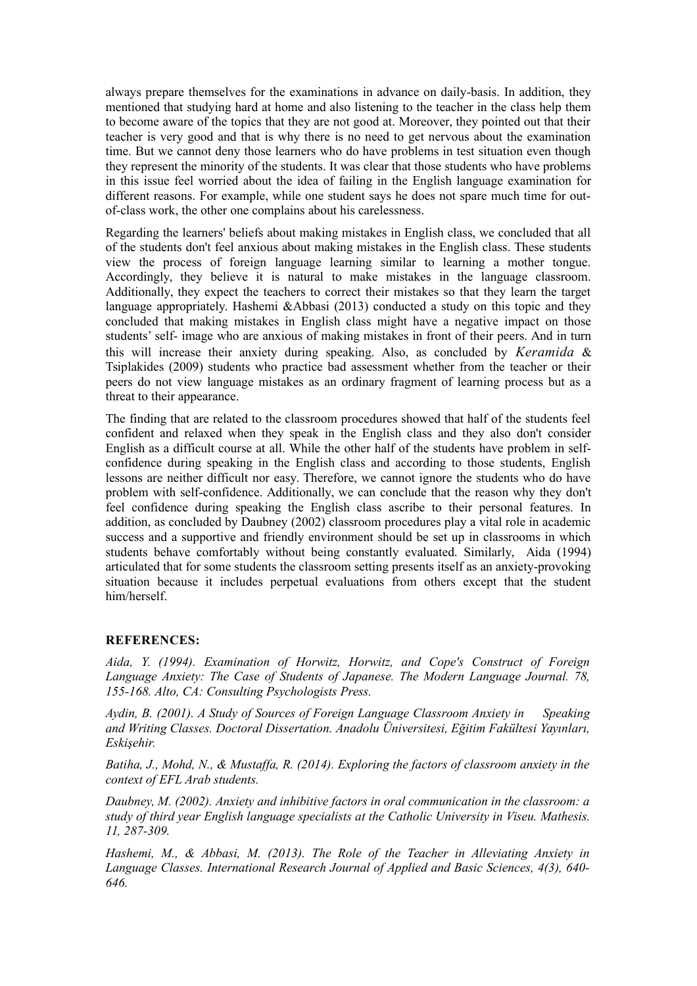always prepare themselves for the examinations in advance on daily-basis. In addition, they mentioned that studying hard at home and also listening to the teacher in the class help them to become aware of the topics that they are not good at. Moreover, they pointed out that their teacher is very good and that is why there is no need to get nervous about the examination time. But we cannot deny those learners who do have problems in test situation even though they represent the minority of the students. It was clear that those students who have problems in this issue feel worried about the idea of failing in the English language examination for different reasons. For example, while one student says he does not spare much time for outof-class work, the other one complains about his carelessness.

Regarding the learners' beliefs about making mistakes in English class, we concluded that all of the students don't feel anxious about making mistakes in the English class. These students view the process of foreign language learning similar to learning a mother tongue. Accordingly, they believe it is natural to make mistakes in the language classroom. Additionally, they expect the teachers to correct their mistakes so that they learn the target language appropriately. Hashemi &Abbasi (2013) conducted a study on this topic and they concluded that making mistakes in English class might have a negative impact on those students' self- image who are anxious of making mistakes in front of their peers. And in turn this will increase their anxiety during speaking. Also, as concluded by *Keramida* & Tsiplakides (2009) students who practice bad assessment whether from the teacher or their peers do not view language mistakes as an ordinary fragment of learning process but as a threat to their appearance.

The finding that are related to the classroom procedures showed that half of the students feel confident and relaxed when they speak in the English class and they also don't consider English as a difficult course at all. While the other half of the students have problem in selfconfidence during speaking in the English class and according to those students, English lessons are neither difficult nor easy. Therefore, we cannot ignore the students who do have problem with self-confidence. Additionally, we can conclude that the reason why they don't feel confidence during speaking the English class ascribe to their personal features. In addition, as concluded by Daubney (2002) classroom procedures play a vital role in academic success and a supportive and friendly environment should be set up in classrooms in which students behave comfortably without being constantly evaluated. Similarly, Aida (1994) articulated that for some students the classroom setting presents itself as an anxiety-provoking situation because it includes perpetual evaluations from others except that the student him/herself.

#### **REFERENCES:**

*Aida, Y. (1994). Examination of Horwitz, Horwitz, and Cope's Construct of Foreign Language Anxiety: The Case of Students of Japanese. The Modern Language Journal. 78, 155-168. Alto, CA: Consulting Psychologists Press.* 

*Aydin, B. (2001). A Study of Sources of Foreign Language Classroom Anxiety in Speaking and Writing Classes. Doctoral Dissertation. Anadolu Üniversitesi, Eğitim Fakültesi Yayınları, Eskişehir.*

*Batiha, J., Mohd, N., & Mustaffa, R. (2014). Exploring the factors of classroom anxiety in the context of EFL Arab students.* 

*Daubney, M. (2002). Anxiety and inhibitive factors in oral communication in the classroom: a study of third year English language specialists at the Catholic University in Viseu. Mathesis. 11, 287-309.*

*Hashemi, M., & Abbasi, M. (2013). The Role of the Teacher in Alleviating Anxiety in Language Classes. International Research Journal of Applied and Basic Sciences, 4(3), 640- 646.*